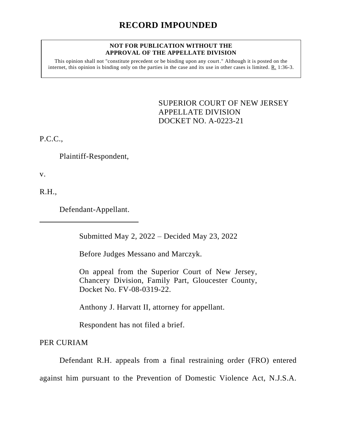# **RECORD IMPOUNDED**

#### **NOT FOR PUBLICATION WITHOUT THE APPROVAL OF THE APPELLATE DIVISION**

This opinion shall not "constitute precedent or be binding upon any court." Although it is posted on the internet, this opinion is binding only on the parties in the case and its use in other cases is limited. R. 1:36-3.

> <span id="page-0-0"></span>SUPERIOR COURT OF NEW JERSEY APPELLATE DIVISION DOCKET NO. A-0223-21

P.C.C.,

Plaintiff-Respondent,

v.

R.H.,

Defendant-Appellant.

Submitted May 2, 2022 – Decided May 23, 2022

Before Judges Messano and Marczyk.

On appeal from the Superior Court of New Jersey, Chancery Division, Family Part, Gloucester County, Docket No. FV-08-0319-22.

Anthony J. Harvatt II, attorney for appellant.

Respondent has not filed a brief.

PER CURIAM

Defendant R.H. appeals from a final restraining order (FRO) entered

against him pursuant to the Prevention of Domestic Violence Act, N.J.S.A.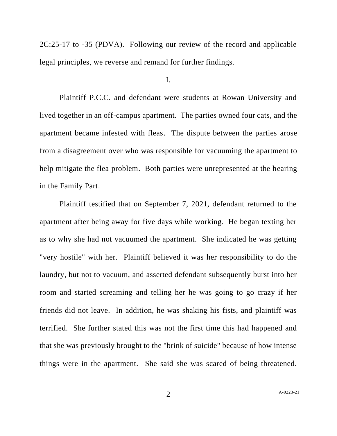2C:25-17 to -35 (PDVA). Following our review of the record and applicable legal principles, we reverse and remand for further findings.

## I.

Plaintiff P.C.C. and defendant were students at Rowan University and lived together in an off-campus apartment. The parties owned four cats, and the apartment became infested with fleas. The dispute between the parties arose from a disagreement over who was responsible for vacuuming the apartment to help mitigate the flea problem. Both parties were unrepresented at the hearing in the Family Part.

Plaintiff testified that on September 7, 2021, defendant returned to the apartment after being away for five days while working. He began texting her as to why she had not vacuumed the apartment. She indicated he was getting "very hostile" with her. Plaintiff believed it was her responsibility to do the laundry, but not to vacuum, and asserted defendant subsequently burst into her room and started screaming and telling her he was going to go crazy if her friends did not leave. In addition, he was shaking his fists, and plaintiff was terrified. She further stated this was not the first time this had happened and that she was previously brought to the "brink of suicide" because of how intense things were in the apartment. She said she was scared of being threatened.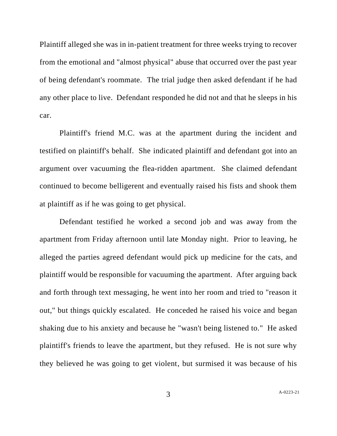Plaintiff alleged she was in in-patient treatment for three weeks trying to recover from the emotional and "almost physical" abuse that occurred over the past year of being defendant's roommate. The trial judge then asked defendant if he had any other place to live. Defendant responded he did not and that he sleeps in his car.

Plaintiff's friend M.C. was at the apartment during the incident and testified on plaintiff's behalf. She indicated plaintiff and defendant got into an argument over vacuuming the flea-ridden apartment. She claimed defendant continued to become belligerent and eventually raised his fists and shook them at plaintiff as if he was going to get physical.

Defendant testified he worked a second job and was away from the apartment from Friday afternoon until late Monday night. Prior to leaving, he alleged the parties agreed defendant would pick up medicine for the cats, and plaintiff would be responsible for vacuuming the apartment. After arguing back and forth through text messaging, he went into her room and tried to "reason it out," but things quickly escalated. He conceded he raised his voice and began shaking due to his anxiety and because he "wasn't being listened to." He asked plaintiff's friends to leave the apartment, but they refused. He is not sure why they believed he was going to get violent, but surmised it was because of his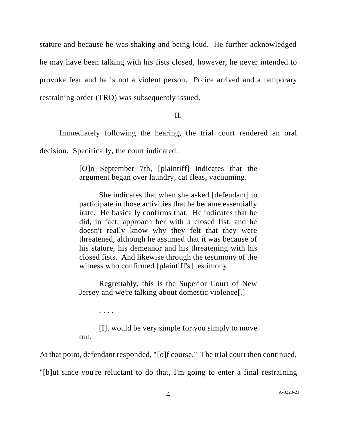stature and because he was shaking and being loud. He further acknowledged he may have been talking with his fists closed, however, he never intended to provoke fear and he is not a violent person. Police arrived and a temporary restraining order (TRO) was subsequently issued.

## II.

Immediately following the hearing, the trial court rendered an oral

decision. Specifically, the court indicated:

. . . .

[O]n September 7th, [plaintiff] indicates that the argument began over laundry, cat fleas, vacuuming.

She indicates that when she asked [defendant] to participate in those activities that he became essentially irate. He basically confirms that. He indicates that he did, in fact, approach her with a closed fist, and he doesn't really know why they felt that they were threatened, although he assumed that it was because of his stature, his demeanor and his threatening with his closed fists. And likewise through the testimony of the witness who confirmed [plaintiff's] testimony.

Regrettably, this is the Superior Court of New Jersey and we're talking about domestic violence[.]

[I]t would be very simple for you simply to move out.

At that point, defendant responded, "[o]f course." The trial court then continued,

"[b]ut since you're reluctant to do that, I'm going to enter a final restraining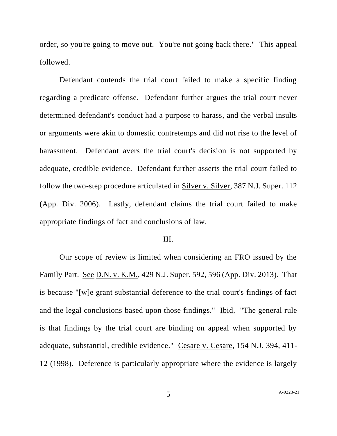order, so you're going to move out. You're not going back there." This appeal followed.

Defendant contends the trial court failed to make a specific finding regarding a predicate offense. Defendant further argues the trial court never determined defendant's conduct had a purpose to harass, and the verbal insults or arguments were akin to domestic contretemps and did not rise to the level of harassment. Defendant avers the trial court's decision is not supported by adequate, credible evidence. Defendant further asserts the trial court failed to follow the two-step procedure articulated in Silver v. Silver, 387 N.J. Super. 112 (App. Div. 2006). Lastly, defendant claims the trial court failed to make appropriate findings of fact and conclusions of law.

#### III.

Our scope of review is limited when considering an FRO issued by the Family Part. See D.N. v. K.M., 429 N.J. Super. 592, 596 (App. Div. 2013). That is because "[w]e grant substantial deference to the trial court's findings of fact and the legal conclusions based upon those findings." Ibid. "The general rule is that findings by the trial court are binding on appeal when supported by adequate, substantial, credible evidence." Cesare v. Cesare, 154 N.J. 394, 411- 12 (1998). Deference is particularly appropriate where the evidence is largely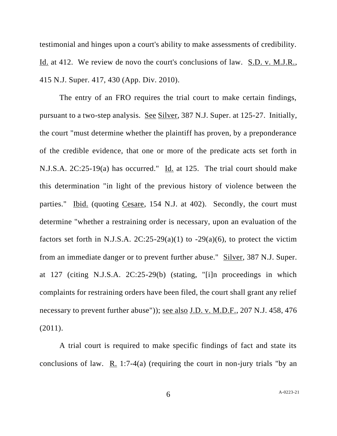testimonial and hinges upon a court's ability to make assessments of credibility. Id. at 412. We review de novo the court's conclusions of law. S.D. v. M.J.R., 415 N.J. Super. 417, 430 (App. Div. 2010).

The entry of an FRO requires the trial court to make certain findings, pursuant to a two-step analysis. See Silver, 387 N.J. Super. at 125-27. Initially, the court "must determine whether the plaintiff has proven, by a preponderance of the credible evidence, that one or more of the predicate acts set forth in N.J.S.A. 2C:25-19(a) has occurred." Id. at 125. The trial court should make this determination "in light of the previous history of violence between the parties." Ibid. (quoting Cesare, 154 N.J. at 402). Secondly, the court must determine "whether a restraining order is necessary, upon an evaluation of the factors set forth in N.J.S.A.  $2C:25-29(a)(1)$  to  $-29(a)(6)$ , to protect the victim from an immediate danger or to prevent further abuse." Silver, 387 N.J. Super. at 127 (citing N.J.S.A. 2C:25-29(b) (stating, "[i]n proceedings in which complaints for restraining orders have been filed, the court shall grant any relief necessary to prevent further abuse")); <u>see also J.D. v. M.D.F.</u>, 207 N.J. 458, 476 (2011).

A trial court is required to make specific findings of fact and state its conclusions of law. R. 1:7-4(a) (requiring the court in non-jury trials "by an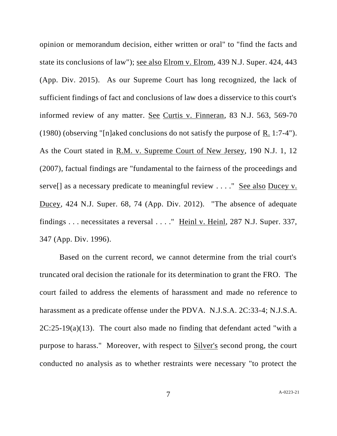opinion or memorandum decision, either written or oral" to "find the facts and state its conclusions of law"); see also Elrom v. Elrom, 439 N.J. Super. 424, 443 (App. Div. 2015). As our Supreme Court has long recognized, the lack of sufficient findings of fact and conclusions of law does a disservice to this court's informed review of any matter. See Curtis v. Finneran, 83 N.J. 563, 569-70 (1980) (observing "[n]aked conclusions do not satisfy the purpose of R. 1:7-4"). As the Court stated in R.M. v. Supreme Court of New Jersey, 190 N.J. 1, 12 (2007), factual findings are "fundamental to the fairness of the proceedings and serve<sup>[]</sup> as a necessary predicate to meaningful review . . . . " See also Ducey v. Ducey, 424 N.J. Super. 68, 74 (App. Div. 2012). "The absence of adequate findings . . . necessitates a reversal . . . ." Heinl v. Heinl, 287 N.J. Super. 337, 347 (App. Div. 1996).

Based on the current record, we cannot determine from the trial court's truncated oral decision the rationale for its determination to grant the FRO. The court failed to address the elements of harassment and made no reference to harassment as a predicate offense under the PDVA. N.J.S.A. 2C:33-4; N.J.S.A. 2C:25-19(a)(13). The court also made no finding that defendant acted "with a purpose to harass." Moreover, with respect to Silver's second prong, the court conducted no analysis as to whether restraints were necessary "to protect the